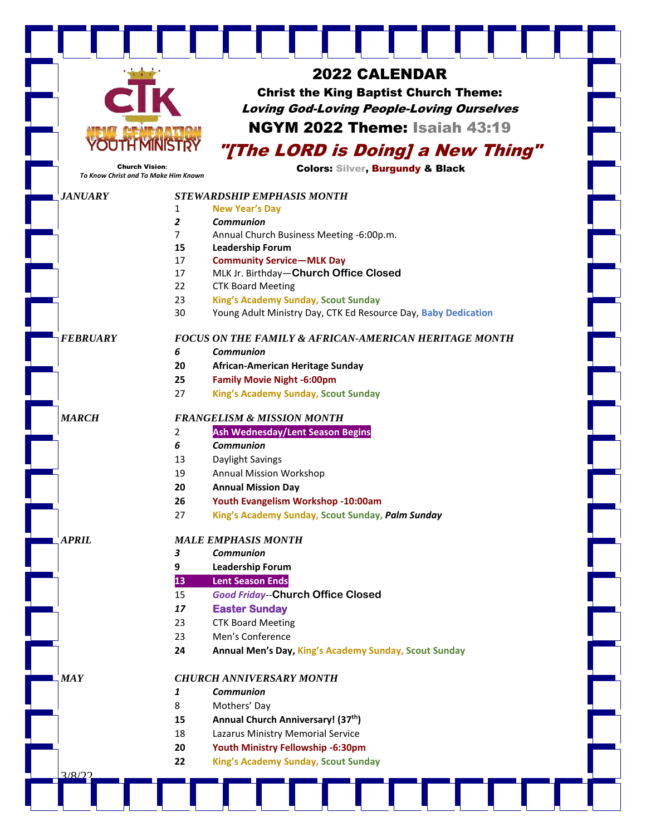|                                                               |                | <b>2022 CALENDAR</b>                                             |
|---------------------------------------------------------------|----------------|------------------------------------------------------------------|
|                                                               |                | <b>Christ the King Baptist Church Theme:</b>                     |
|                                                               |                |                                                                  |
|                                                               |                | <b>Loving God-Loving People-Loving Ourselves</b>                 |
|                                                               |                | <b>NGYM 2022 Theme: Isaiah 43:19</b>                             |
|                                                               |                | "[The LORD is Doing] a New Thing"                                |
| <b>Church Vision:</b><br>To Know Christ and To Make Him Known |                | <b>Colors: Silver, Burgundy &amp; Black</b>                      |
| <b>JANUARY</b>                                                |                | <b>STEWARDSHIP EMPHASIS MONTH</b>                                |
|                                                               | 1              | <b>New Year's Day</b>                                            |
|                                                               | $\overline{2}$ | <b>Communion</b>                                                 |
|                                                               | $\overline{7}$ | Annual Church Business Meeting -6:00p.m.                         |
|                                                               | 15             | <b>Leadership Forum</b>                                          |
|                                                               | 17             | <b>Community Service-MLK Day</b>                                 |
|                                                               | 17             | MLK Jr. Birthday-Church Office Closed                            |
|                                                               | 22             | <b>CTK Board Meeting</b>                                         |
|                                                               | 23             | King's Academy Sunday, Scout Sunday                              |
|                                                               | 30             | Young Adult Ministry Day, CTK Ed Resource Day, Baby Dedication   |
| <b>FEBRUARY</b>                                               |                | <b>FOCUS ON THE FAMILY &amp; AFRICAN-AMERICAN HERITAGE MONTH</b> |
|                                                               | 6              | Communion                                                        |
|                                                               | 20             | African-American Heritage Sunday                                 |
|                                                               | 25             | <b>Family Movie Night -6:00pm</b>                                |
|                                                               | 27             | King's Academy Sunday, Scout Sunday                              |
| <b>MARCH</b>                                                  |                | <b>FRANGELISM &amp; MISSION MONTH</b>                            |
|                                                               | 2              | Ash Wednesday/Lent Season Begins                                 |
|                                                               | 6              | <b>Communion</b>                                                 |
|                                                               | 13             | Daylight Savings                                                 |
|                                                               | 19             | <b>Annual Mission Workshop</b>                                   |
|                                                               | 20             | <b>Annual Mission Day</b>                                        |
|                                                               | 26             | Youth Evangelism Workshop -10:00am                               |
|                                                               | 27             | King's Academy Sunday, Scout Sunday, Palm Sunday                 |
| <b>APRIL</b>                                                  |                | <b>MALE EMPHASIS MONTH</b>                                       |
|                                                               | 3              | <b>Communion</b>                                                 |
|                                                               | 9              | <b>Leadership Forum</b>                                          |
|                                                               | 13             | <b>Lent Season Ends</b>                                          |
|                                                               | 15             | <b>Good Friday--Church Office Closed</b>                         |
|                                                               | 17             | <b>Easter Sunday</b>                                             |
|                                                               | 23             | <b>CTK Board Meeting</b>                                         |
|                                                               | 23             | Men's Conference                                                 |
|                                                               | 24             | Annual Men's Day, King's Academy Sunday, Scout Sunday            |
|                                                               |                |                                                                  |
| <b>MAY</b>                                                    |                | <b>CHURCH ANNIVERSARY MONTH</b>                                  |
|                                                               | 1              | <b>Communion</b>                                                 |
|                                                               | 8              | Mothers' Day                                                     |
|                                                               | 15             | Annual Church Anniversary! (37th)                                |
|                                                               | 18             | Lazarus Ministry Memorial Service                                |
|                                                               | 20             | Youth Ministry Fellowship -6:30pm                                |
|                                                               | 22             | King's Academy Sunday, Scout Sunday                              |